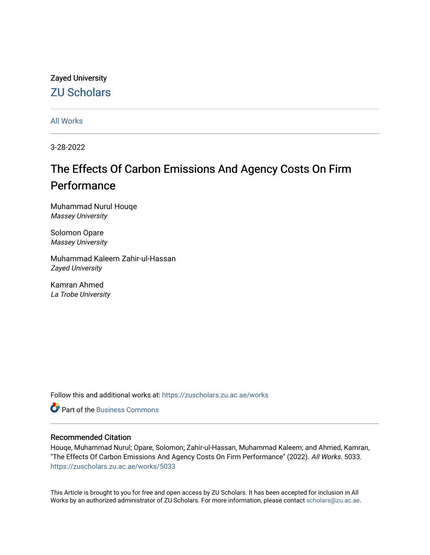# Zayed University [ZU Scholars](https://zuscholars.zu.ac.ae/)

[All Works](https://zuscholars.zu.ac.ae/works)

3-28-2022

# The Effects Of Carbon Emissions And Agency Costs On Firm Performance

Muhammad Nurul Houqe Massey University

Solomon Opare Massey University

Muhammad Kaleem Zahir-ul-Hassan Zayed University

Kamran Ahmed La Trobe University

Follow this and additional works at: [https://zuscholars.zu.ac.ae/works](https://zuscholars.zu.ac.ae/works?utm_source=zuscholars.zu.ac.ae%2Fworks%2F5033&utm_medium=PDF&utm_campaign=PDFCoverPages)

Part of the [Business Commons](http://network.bepress.com/hgg/discipline/622?utm_source=zuscholars.zu.ac.ae%2Fworks%2F5033&utm_medium=PDF&utm_campaign=PDFCoverPages)

# Recommended Citation

Houqe, Muhammad Nurul; Opare, Solomon; Zahir-ul-Hassan, Muhammad Kaleem; and Ahmed, Kamran, "The Effects Of Carbon Emissions And Agency Costs On Firm Performance" (2022). All Works. 5033. [https://zuscholars.zu.ac.ae/works/5033](https://zuscholars.zu.ac.ae/works/5033?utm_source=zuscholars.zu.ac.ae%2Fworks%2F5033&utm_medium=PDF&utm_campaign=PDFCoverPages)

This Article is brought to you for free and open access by ZU Scholars. It has been accepted for inclusion in All Works by an authorized administrator of ZU Scholars. For more information, please contact [scholars@zu.ac.ae](mailto:scholars@zu.ac.ae).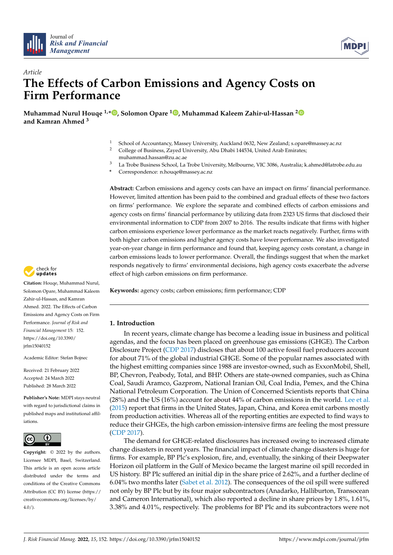



# *Article* **The Effects of Carbon Emissions and Agency Costs on Firm Performance**

**Muhammad Nurul Houqe 1,\* [,](https://orcid.org/0000-0001-8964-3130) Solomon Opare [1](https://orcid.org/0000-0002-0685-2146) , Muhammad Kaleem Zahir-ul-Hassan [2](https://orcid.org/0000-0002-1512-2663) and Kamran Ahmed <sup>3</sup>**

- <sup>1</sup> School of Accountancy, Massey University, Auckland 0632, New Zealand; s.opare@massey.ac.nz<br><sup>2</sup>  $\overline{C}$  <sup>11</sup>  $\overline{C}$   $\overline{C}$   $\overline{C}$   $\overline{C}$   $\overline{C}$   $\overline{C}$   $\overline{C}$   $\overline{C}$   $\overline{C}$   $\overline{C}$   $\overline{C}$   $\overline{C}$
- <sup>2</sup> College of Business, Zayed University, Abu Dhabi 144534, United Arab Emirates; muhammad.hassan@zu.ac.ae
- <sup>3</sup> La Trobe Business School, La Trobe University, Melbourne, VIC 3086, Australia; k.ahmed@latrobe.edu.au
- **\*** Correspondence: n.houqe@massey.ac.nz

**Abstract:** Carbon emissions and agency costs can have an impact on firms' financial performance. However, limited attention has been paid to the combined and gradual effects of these two factors on firms' performance. We explore the separate and combined effects of carbon emissions and agency costs on firms' financial performance by utilizing data from 2323 US firms that disclosed their environmental information to CDP from 2007 to 2016. The results indicate that firms with higher carbon emissions experience lower performance as the market reacts negatively. Further, firms with both higher carbon emissions and higher agency costs have lower performance. We also investigated year-on-year change in firm performance and found that, keeping agency costs constant, a change in carbon emissions leads to lower performance. Overall, the findings suggest that when the market responds negatively to firms' environmental decisions, high agency costs exacerbate the adverse effect of high carbon emissions on firm performance.

**Keywords:** agency costs; carbon emissions; firm performance; CDP

## **1. Introduction**

In recent years, climate change has become a leading issue in business and political agendas, and the focus has been placed on greenhouse gas emissions (GHGE). The Carbon Disclosure Project [\(CDP](#page-16-0) [2017\)](#page-16-0) discloses that about 100 active fossil fuel producers account for about 71% of the global industrial GHGE. Some of the popular names associated with the highest emitting companies since 1988 are investor-owned, such as ExxonMobil, Shell, BP, Chevron, Peabody, Total, and BHP. Others are state-owned companies, such as China Coal, Saudi Aramco, Gazprom, National Iranian Oil, Coal India, Pemex, and the China National Petroleum Corporation. The Union of Concerned Scientists reports that China (28%) and the US (16%) account for about 44% of carbon emissions in the world. [Lee et al.](#page-16-1) [\(2015\)](#page-16-1) report that firms in the United States, Japan, China, and Korea emit carbons mostly from production activities. Whereas all of the reporting entities are expected to find ways to reduce their GHGEs, the high carbon emission-intensive firms are feeling the most pressure [\(CDP](#page-16-0) [2017\)](#page-16-0).

The demand for GHGE-related disclosures has increased owing to increased climate change disasters in recent years. The financial impact of climate change disasters is huge for firms. For example, BP Plc's explosion, fire, and, eventually, the sinking of their Deepwater Horizon oil platform in the Gulf of Mexico became the largest marine oil spill recorded in US history. BP Plc suffered an initial dip in the share price of 2.62%, and a further decline of 6.04% two months later [\(Sabet et al.](#page-17-0) [2012\)](#page-17-0). The consequences of the oil spill were suffered not only by BP Plc but by its four major subcontractors (Anadarko, Halliburton, Transocean and Cameron International), which also reported a decline in share prices by 1.8%, 1.61%, 3.38% and 4.01%, respectively. The problems for BP Plc and its subcontractors were not



**Citation:** Houqe, Muhammad Nurul, Solomon Opare, Muhammad Kaleem Zahir-ul-Hassan, and Kamran Ahmed. 2022. The Effects of Carbon Emissions and Agency Costs on Firm Performance. *Journal of Risk and Financial Management* 15: 152. [https://doi.org/10.3390/](https://doi.org/10.3390/jrfm15040152) [jrfm15040152](https://doi.org/10.3390/jrfm15040152)

Academic Editor: Stefan Bojnec

Received: 21 February 2022 Accepted: 24 March 2022 Published: 28 March 2022

**Publisher's Note:** MDPI stays neutral with regard to jurisdictional claims in published maps and institutional affiliations.



**Copyright:** © 2022 by the authors. Licensee MDPI, Basel, Switzerland. This article is an open access article distributed under the terms and conditions of the Creative Commons Attribution (CC BY) license [\(https://](https://creativecommons.org/licenses/by/4.0/) [creativecommons.org/licenses/by/](https://creativecommons.org/licenses/by/4.0/)  $4.0/$ ).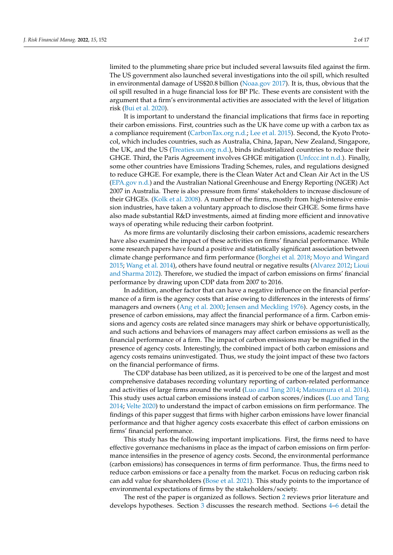limited to the plummeting share price but included several lawsuits filed against the firm. The US government also launched several investigations into the oil spill, which resulted in environmental damage of US\$20.8 billion [\(Noaa.gov](#page-17-1) [2017\)](#page-17-1). It is, thus, obvious that the oil spill resulted in a huge financial loss for BP Plc. These events are consistent with the argument that a firm's environmental activities are associated with the level of litigation risk [\(Bui et al.](#page-16-2) [2020\)](#page-16-2).

It is important to understand the financial implications that firms face in reporting their carbon emissions. First, countries such as the UK have come up with a carbon tax as a compliance requirement [\(CarbonTax.org](#page-16-3) [n.d.;](#page-16-3) [Lee et al.](#page-16-1) [2015\)](#page-16-1). Second, the Kyoto Protocol, which includes countries, such as Australia, China, Japan, New Zealand, Singapore, the UK, and the US [\(Treaties.un.org](#page-17-2) [n.d.\)](#page-17-2), binds industrialized countries to reduce their GHGE. Third, the Paris Agreement involves GHGE mitigation [\(Unfccc.int](#page-17-3) [n.d.\)](#page-17-3). Finally, some other countries have Emissions Trading Schemes, rules, and regulations designed to reduce GHGE. For example, there is the Clean Water Act and Clean Air Act in the US [\(EPA.gov](#page-16-4) [n.d.\)](#page-16-4) and the Australian National Greenhouse and Energy Reporting (NGER) Act 2007 in Australia. There is also pressure from firms' stakeholders to increase disclosure of their GHGEs. [\(Kolk et al.](#page-16-5) [2008\)](#page-16-5). A number of the firms, mostly from high-intensive emission industries, have taken a voluntary approach to disclose their GHGE. Some firms have also made substantial R&D investments, aimed at finding more efficient and innovative ways of operating while reducing their carbon footprint.

As more firms are voluntarily disclosing their carbon emissions, academic researchers have also examined the impact of these activities on firms' financial performance. While some research papers have found a positive and statistically significant association between climate change performance and firm performance [\(Borghei et al.](#page-15-0) [2018;](#page-15-0) [Moyo and Wingard](#page-16-6) [2015;](#page-16-6) [Wang et al.](#page-17-4) [2014\)](#page-17-4), others have found neutral or negative results [\(Alvarez](#page-15-1) [2012;](#page-15-1) [Lioui](#page-16-7) [and Sharma](#page-16-7) [2012\)](#page-16-7). Therefore, we studied the impact of carbon emissions on firms' financial performance by drawing upon CDP data from 2007 to 2016.

In addition, another factor that can have a negative influence on the financial performance of a firm is the agency costs that arise owing to differences in the interests of firms' managers and owners [\(Ang et al.](#page-15-2) [2000;](#page-15-2) [Jensen and Meckling](#page-16-8) [1976\)](#page-16-8). Agency costs, in the presence of carbon emissions, may affect the financial performance of a firm. Carbon emissions and agency costs are related since managers may shirk or behave opportunistically, and such actions and behaviors of managers may affect carbon emissions as well as the financial performance of a firm. The impact of carbon emissions may be magnified in the presence of agency costs. Interestingly, the combined impact of both carbon emissions and agency costs remains uninvestigated. Thus, we study the joint impact of these two factors on the financial performance of firms.

The CDP database has been utilized, as it is perceived to be one of the largest and most comprehensive databases recording voluntary reporting of carbon-related performance and activities of large firms around the world [\(Luo and Tang](#page-16-9) [2014;](#page-16-9) [Matsumura et al.](#page-16-10) [2014\)](#page-16-10). This study uses actual carbon emissions instead of carbon scores/indices [\(Luo and Tang](#page-16-9) [2014;](#page-16-9) [Velte](#page-17-5) [2020\)](#page-17-5) to understand the impact of carbon emissions on firm performance. The findings of this paper suggest that firms with higher carbon emissions have lower financial performance and that higher agency costs exacerbate this effect of carbon emissions on firms' financial performance.

This study has the following important implications. First, the firms need to have effective governance mechanisms in place as the impact of carbon emissions on firm performance intensifies in the presence of agency costs. Second, the environmental performance (carbon emissions) has consequences in terms of firm performance. Thus, the firms need to reduce carbon emissions or face a penalty from the market. Focus on reducing carbon risk can add value for shareholders [\(Bose et al.](#page-15-3) [2021\)](#page-15-3). This study points to the importance of environmental expectations of firms by the stakeholders/society.

The rest of the paper is organized as follows. Section [2](#page-3-0) reviews prior literature and develops hypotheses. Section [3](#page-5-0) discusses the research method. Sections [4](#page-7-0)[–6](#page-11-0) detail the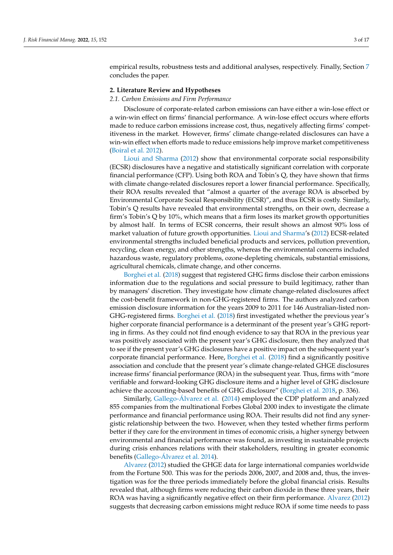empirical results, robustness tests and additional analyses, respectively. Finally, Section [7](#page-13-0) concludes the paper.

#### <span id="page-3-0"></span>**2. Literature Review and Hypotheses**

#### *2.1. Carbon Emissions and Firm Performance*

Disclosure of corporate-related carbon emissions can have either a win-lose effect or a win-win effect on firms' financial performance. A win-lose effect occurs where efforts made to reduce carbon emissions increase cost, thus, negatively affecting firms' competitiveness in the market. However, firms' climate change-related disclosures can have a win-win effect when efforts made to reduce emissions help improve market competitiveness [\(Boiral et al.](#page-15-4) [2012\)](#page-15-4).

[Lioui and Sharma](#page-16-7) [\(2012\)](#page-16-7) show that environmental corporate social responsibility (ECSR) disclosures have a negative and statistically significant correlation with corporate financial performance (CFP). Using both ROA and Tobin's Q, they have shown that firms with climate change-related disclosures report a lower financial performance. Specifically, their ROA results revealed that "almost a quarter of the average ROA is absorbed by Environmental Corporate Social Responsibility (ECSR)", and thus ECSR is costly. Similarly, Tobin's Q results have revealed that environmental strengths, on their own, decrease a firm's Tobin's Q by 10%, which means that a firm loses its market growth opportunities by almost half. In terms of ECSR concerns, their result shows an almost 90% loss of market valuation of future growth opportunities. [Lioui and Sharma'](#page-16-7)s [\(2012\)](#page-16-7) ECSR-related environmental strengths included beneficial products and services, pollution prevention, recycling, clean energy, and other strengths, whereas the environmental concerns included hazardous waste, regulatory problems, ozone-depleting chemicals, substantial emissions, agricultural chemicals, climate change, and other concerns.

[Borghei et al.](#page-15-0) [\(2018\)](#page-15-0) suggest that registered GHG firms disclose their carbon emissions information due to the regulations and social pressure to build legitimacy, rather than by managers' discretion. They investigate how climate change-related disclosures affect the cost-benefit framework in non-GHG-registered firms. The authors analyzed carbon emission disclosure information for the years 2009 to 2011 for 146 Australian-listed non-GHG-registered firms. [Borghei et al.](#page-15-0) [\(2018\)](#page-15-0) first investigated whether the previous year's higher corporate financial performance is a determinant of the present year's GHG reporting in firms. As they could not find enough evidence to say that ROA in the previous year was positively associated with the present year's GHG disclosure, then they analyzed that to see if the present year's GHG disclosures have a positive impact on the subsequent year's corporate financial performance. Here, [Borghei et al.](#page-15-0) [\(2018\)](#page-15-0) find a significantly positive association and conclude that the present year's climate change-related GHGE disclosures increase firms' financial performance (ROA) in the subsequent year. Thus, firms with "more verifiable and forward-looking GHG disclosure items and a higher level of GHG disclosure achieve the accounting-based benefits of GHG disclosure" [\(Borghei et al.](#page-15-0) [2018,](#page-15-0) p. 336).

Similarly, Gallego-Á[lvarez et al.](#page-16-11) [\(2014\)](#page-16-11) employed the CDP platform and analyzed 855 companies from the multinational Forbes Global 2000 index to investigate the climate performance and financial performance using ROA. Their results did not find any synergistic relationship between the two. However, when they tested whether firms perform better if they care for the environment in times of economic crisis, a higher synergy between environmental and financial performance was found, as investing in sustainable projects during crisis enhances relations with their stakeholders, resulting in greater economic benefits (Gallego-Á[lvarez et al.](#page-16-11) [2014\)](#page-16-11).

[Alvarez](#page-15-1) [\(2012\)](#page-15-1) studied the GHGE data for large international companies worldwide from the Fortune 500. This was for the periods 2006, 2007, and 2008 and, thus, the investigation was for the three periods immediately before the global financial crisis. Results revealed that, although firms were reducing their carbon dioxide in these three years, their ROA was having a significantly negative effect on their firm performance. [Alvarez](#page-15-1) [\(2012\)](#page-15-1) suggests that decreasing carbon emissions might reduce ROA if some time needs to pass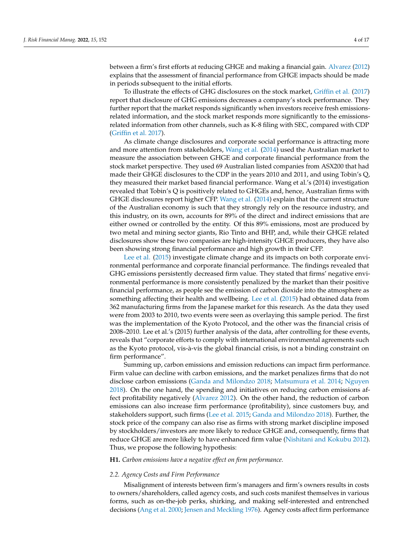between a firm's first efforts at reducing GHGE and making a financial gain. [Alvarez](#page-15-1) [\(2012\)](#page-15-1) explains that the assessment of financial performance from GHGE impacts should be made in periods subsequent to the initial efforts.

To illustrate the effects of GHG disclosures on the stock market, [Griffin et al.](#page-16-12) [\(2017\)](#page-16-12) report that disclosure of GHG emissions decreases a company's stock performance. They further report that the market responds significantly when investors receive fresh emissionsrelated information, and the stock market responds more significantly to the emissionsrelated information from other channels, such as K-8 filing with SEC, compared with CDP [\(Griffin et al.](#page-16-12) [2017\)](#page-16-12).

As climate change disclosures and corporate social performance is attracting more and more attention from stakeholders, [Wang et al.](#page-17-4) [\(2014\)](#page-17-4) used the Australian market to measure the association between GHGE and corporate financial performance from the stock market perspective. They used 69 Australian listed companies from ASX200 that had made their GHGE disclosures to the CDP in the years 2010 and 2011, and using Tobin's Q, they measured their market based financial performance. Wang et al.'s (2014) investigation revealed that Tobin's Q is positively related to GHGEs and, hence, Australian firms with GHGE disclosures report higher CFP. [Wang et al.](#page-17-4) [\(2014\)](#page-17-4) explain that the current structure of the Australian economy is such that they strongly rely on the resource industry, and this industry, on its own, accounts for 89% of the direct and indirect emissions that are either owned or controlled by the entity. Of this 89% emissions, most are produced by two metal and mining sector giants, Rio Tinto and BHP, and, while their GHGE related disclosures show these two companies are high-intensity GHGE producers, they have also been showing strong financial performance and high growth in their CFP.

[Lee et al.](#page-16-1) [\(2015\)](#page-16-1) investigate climate change and its impacts on both corporate environmental performance and corporate financial performance. The findings revealed that GHG emissions persistently decreased firm value. They stated that firms' negative environmental performance is more consistently penalized by the market than their positive financial performance, as people see the emission of carbon dioxide into the atmosphere as something affecting their health and wellbeing. [Lee et al.](#page-16-1) [\(2015\)](#page-16-1) had obtained data from 362 manufacturing firms from the Japanese market for this research. As the data they used were from 2003 to 2010, two events were seen as overlaying this sample period. The first was the implementation of the Kyoto Protocol, and the other was the financial crisis of 2008–2010. Lee et al.'s (2015) further analysis of the data, after controlling for these events, reveals that "corporate efforts to comply with international environmental agreements such as the Kyoto protocol, vis-à-vis the global financial crisis, is not a binding constraint on firm performance".

Summing up, carbon emissions and emission reductions can impact firm performance. Firm value can decline with carbon emissions, and the market penalizes firms that do not disclose carbon emissions [\(Ganda and Milondzo](#page-16-13) [2018;](#page-16-13) [Matsumura et al.](#page-16-10) [2014;](#page-16-10) [Nguyen](#page-16-14) [2018\)](#page-16-14). On the one hand, the spending and initiatives on reducing carbon emissions affect profitability negatively [\(Alvarez](#page-15-1) [2012\)](#page-15-1). On the other hand, the reduction of carbon emissions can also increase firm performance (profitability), since customers buy, and stakeholders support, such firms [\(Lee et al.](#page-16-1) [2015;](#page-16-1) [Ganda and Milondzo](#page-16-13) [2018\)](#page-16-13). Further, the stock price of the company can also rise as firms with strong market discipline imposed by stockholders/investors are more likely to reduce GHGE and, consequently, firms that reduce GHGE are more likely to have enhanced firm value [\(Nishitani and Kokubu](#page-16-15) [2012\)](#page-16-15). Thus, we propose the following hypothesis:

#### **H1.** *Carbon emissions have a negative effect on firm performance.*

#### *2.2. Agency Costs and Firm Performance*

Misalignment of interests between firm's managers and firm's owners results in costs to owners/shareholders, called agency costs, and such costs manifest themselves in various forms, such as on-the-job perks, shirking, and making self-interested and entrenched decisions [\(Ang et al.](#page-15-2) [2000;](#page-15-2) [Jensen and Meckling](#page-16-8) [1976\)](#page-16-8). Agency costs affect firm performance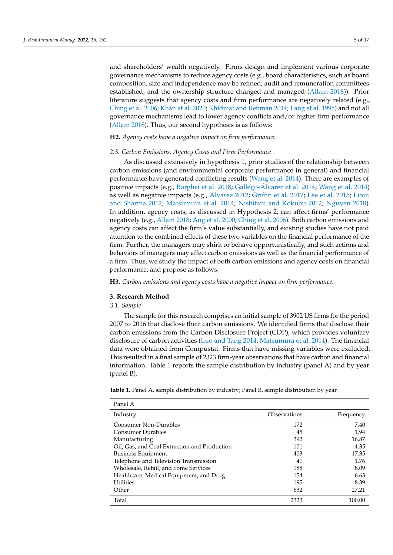and shareholders' wealth negatively. Firms design and implement various corporate governance mechanisms to reduce agency costs (e.g., board characteristics, such as board composition, size and independence may be refined; audit and remuneration committees established, and the ownership structure changed and managed [\(Allam](#page-15-5) [2018\)](#page-15-5)). Prior literature suggests that agency costs and firm performance are negatively related (e.g., [Ching et al.](#page-16-16) [2006;](#page-16-16) [Khan et al.](#page-16-17) [2020;](#page-16-17) [Khidmat and Rehman](#page-16-18) [2014;](#page-16-18) [Lang et al.](#page-16-19) [1995\)](#page-16-19) and not all governance mechanisms lead to lower agency conflicts and/or higher firm performance [\(Allam](#page-15-5) [2018\)](#page-15-5). Thus, our second hypothesis is as follows:

### **H2.** *Agency costs have a negative impact on firm performance.*

#### *2.3. Carbon Emissions, Agency Costs and Firm Performance*

As discussed extensively in hypothesis 1, prior studies of the relationship between carbon emissions (and environmental corporate performance in general) and financial performance have generated conflicting results [\(Wang et al.](#page-17-4) [2014\)](#page-17-4). There are examples of positive impacts (e.g., [Borghei et al.](#page-15-0) [2018;](#page-15-0) Gallego-Á[lvarez et al.](#page-16-11) [2014;](#page-16-11) [Wang et al.](#page-17-4) [2014\)](#page-17-4) as well as negative impacts (e.g., [Alvarez](#page-15-1) [2012;](#page-15-1) [Griffin et al.](#page-16-12) [2017;](#page-16-12) [Lee et al.](#page-16-1) [2015;](#page-16-1) [Lioui](#page-16-7) [and Sharma](#page-16-7) [2012;](#page-16-7) [Matsumura et al.](#page-16-10) [2014;](#page-16-10) [Nishitani and Kokubu](#page-16-15) [2012;](#page-16-15) [Nguyen](#page-16-14) [2018\)](#page-16-14). In addition, agency costs, as discussed in Hypothesis 2, can affect firms' performance negatively (e.g., [Allam](#page-15-5) [2018;](#page-15-5) [Ang et al.](#page-15-2) [2000;](#page-15-2) [Ching et al.](#page-16-16) [2006\)](#page-16-16). Both carbon emissions and agency costs can affect the firm's value substantially, and existing studies have not paid attention to the combined effects of these two variables on the financial performance of the firm. Further, the managers may shirk or behave opportunistically, and such actions and behaviors of managers may affect carbon emissions as well as the financial performance of a firm. Thus, we study the impact of both carbon emissions and agency costs on financial performance, and propose as follows:

**H3.** *Carbon emissions and agency costs have a negative impact on firm performance.*

#### <span id="page-5-0"></span>**3. Research Method**

#### *3.1. Sample*

The sample for this research comprises an initial sample of 3902 US firms for the period 2007 to 2016 that disclose their carbon emissions. We identified firms that disclose their carbon emissions from the Carbon Disclosure Project (CDP), which provides voluntary disclosure of carbon activities [\(Luo and Tang](#page-16-9) [2014;](#page-16-9) [Matsumura et al.](#page-16-10) [2014\)](#page-16-10). The financial data were obtained from Compustat. Firms that have missing variables were excluded. This resulted in a final sample of 2323 firm-year observations that have carbon and financial information. Table [1](#page-6-0) reports the sample distribution by industry (panel A) and by year (panel B).

| Panel A                                      |              |           |
|----------------------------------------------|--------------|-----------|
| Industry                                     | Observations | Frequency |
| <b>Consumer Non-Durables</b>                 | 172          | 7.40      |
| Consumer Durables                            | 45           | 1.94      |
| Manufacturing                                | 392          | 16.87     |
| Oil, Gas, and Coal Extraction and Production | 101          | 4.35      |
| <b>Business Equipment</b>                    | 403          | 17.35     |
| Telephone and Television Transmission        | 41           | 1.76      |
| Wholesale, Retail, and Some Services         | 188          | 8.09      |
| Healthcare, Medical Equipment, and Drug      | 154          | 6.63      |
| <b>Utilities</b>                             | 195          | 8.39      |
| Other                                        | 632          | 27.21     |
| Total                                        | 2323         | 100.00    |

**Table 1.** Panel A, sample distribution by industry; Panel B, sample distribution by year.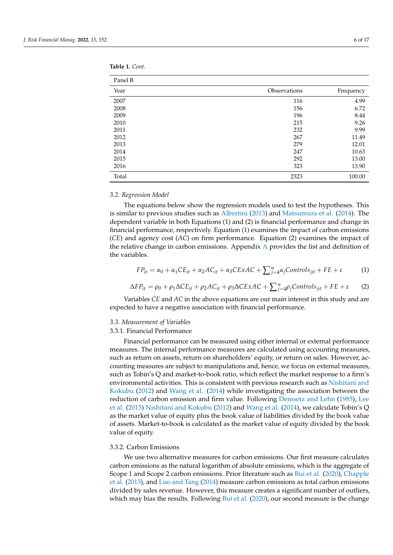| Panel B |              |           |
|---------|--------------|-----------|
| Year    | Observations | Frequency |
| 2007    | 116          | 4.99      |
| 2008    | 156          | 6.72      |
| 2009    | 196          | 8.44      |
| 2010    | 215          | 9.26      |
| 2011    | 232          | 9.99      |
| 2012    | 267          | 11.49     |
| 2013    | 279          | 12.01     |
| 2014    | 247          | 10.63     |
| 2015    | 292          | 13.00     |
|         |              |           |

<span id="page-6-0"></span>**Table 1.** *Cont*.

Panel

#### *3.2. Regression Model*

The equations below show the regression models used to test the hypotheses. This is similar to previous studies such as [Albertini](#page-15-6) [\(2013\)](#page-15-6) and [Matsumura et al.](#page-16-10) [\(2014\)](#page-16-10). The dependent variable in both Equations (1) and (2) is financial performance and change in financial performance, respectively. Equation (1) examines the impact of carbon emissions (*CE*) and agency cost (*AC*) on firm performance. Equation (2) examines the impact of the relative change in carbon emissions. Appendix [A](#page-15-7) provides the list and definition of the variables.

2016 **323** 13.90 Total 2323 100.00

$$
FP_{it} = \alpha_0 + \alpha_1 CE_{it} + \alpha_2 AC_{it} + \alpha_3 CExAC + \sum_{j=4}^{n} \alpha_j Controls_{jit} + FE + \varepsilon
$$
 (1)

$$
\Delta FP_{it} = \rho_0 + \rho_1 \Delta CE_{it} + \rho_2 AC_{it} + \rho_3 \Delta CExAC + \sum_{j=4}^n \rho_j Controls_{jit} + FE + \varepsilon
$$
 (2)

Variables *CE* and *AC* in the above equations are our main interest in this study and are expected to have a negative association with financial performance.

#### *3.3. Measurement of Variables*

#### 3.3.1. Financial Performance

Financial performance can be measured using either internal or external performance measures. The internal performance measures are calculated using accounting measures, such as return on assets, return on shareholders' equity, or return on sales. However, accounting measures are subject to manipulations and, hence, we focus on external measures, such as Tobin's Q and market-to-book ratio, which reflect the market response to a firm's environmental activities. This is consistent with previous research such as [Nishitani and](#page-16-15) [Kokubu](#page-16-15) [\(2012\)](#page-16-15) and [Wang et al.](#page-17-4) [\(2014\)](#page-17-4) while investigating the association between the reduction of carbon emission and firm value. Following [Demsetz and Lehn](#page-16-20) [\(1985\)](#page-16-20), [Lee](#page-16-1) [et al.](#page-16-1) [\(2015\)](#page-16-1) [Nishitani and Kokubu](#page-16-15) [\(2012\)](#page-16-15) and [Wang et al.](#page-17-4) [\(2014\)](#page-17-4), we calculate Tobin's Q as the market value of equity plus the book value of liabilities divided by the book value of assets. Market-to-book is calculated as the market value of equity divided by the book value of equity.

#### 3.3.2. Carbon Emissions

We use two alternative measures for carbon emissions. Our first measure calculates carbon emissions as the natural logarithm of absolute emissions, which is the aggregate of Scope 1 and Scope 2 carbon emissions. Prior literature such as [Bui et al.](#page-16-2) [\(2020\)](#page-16-2), [Chapple](#page-16-21) [et al.](#page-16-21) [\(2013\)](#page-16-21), and [Luo and Tang](#page-16-9) [\(2014\)](#page-16-9) measure carbon emissions as total carbon emissions divided by sales revenue. However, this measure creates a significant number of outliers, which may bias the results. Following [Bui et al.](#page-16-2) [\(2020\)](#page-16-2), our second measure is the change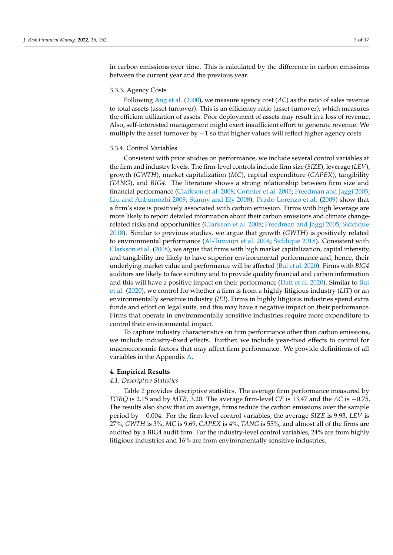in carbon emissions over time. This is calculated by the difference in carbon emissions between the current year and the previous year.

#### 3.3.3. Agency Costs

Following [Ang et al.](#page-15-2) [\(2000\)](#page-15-2), we measure agency cost (*AC*) as the ratio of sales revenue to total assets (asset turnover). This is an efficiency ratio (asset turnover), which measures the efficient utilization of assets. Poor deployment of assets may result in a loss of revenue. Also, self-interested management might exert insufficient effort to generate revenue. We multiply the asset turnover by  $-1$  so that higher values will reflect higher agency costs.

#### 3.3.4. Control Variables

Consistent with prior studies on performance, we include several control variables at the firm and industry levels. The firm-level controls include firm size (*SIZE*), leverage (*LEV*), growth (*GWTH*), market capitalization (*MC*), capital expenditure (*CAPEX*), tangibility (*TANG*), and *BIG4*. The literature shows a strong relationship between firm size and financial performance [\(Clarkson et al.](#page-16-22) [2008;](#page-16-22) [Cormier et al.](#page-16-23) [2005;](#page-16-23) [Freedman and Jaggi](#page-16-24) [2005;](#page-16-24) [Liu and Anbumozhi](#page-16-25) [2009;](#page-16-25) [Stanny and Ely](#page-17-6) [2008\)](#page-17-6). [Prado-Lorenzo et al.](#page-17-7) [\(2009\)](#page-17-7) show that a firm's size is positively associated with carbon emission. Firms with high leverage are more likely to report detailed information about their carbon emissions and climate changerelated risks and opportunities [\(Clarkson et al.](#page-16-22) [2008;](#page-16-22) [Freedman and Jaggi](#page-16-24) [2005;](#page-16-24) [Siddique](#page-17-8) [2018\)](#page-17-8). Similar to previous studies, we argue that growth (*GWTH*) is positively related to environmental performance [\(Al-Tuwaijri et al.](#page-15-8) [2004;](#page-15-8) [Siddique](#page-17-8) [2018\)](#page-17-8). Consistent with [Clarkson et al.](#page-16-22) [\(2008\)](#page-16-22), we argue that firms with high market capitalization, capital intensity, and tangibility are likely to have superior environmental performance and, hence, their underlying market value and performance will be affected [\(Bui et al.](#page-16-2) [2020\)](#page-16-2). Firms with *BIG4* auditors are likely to face scrutiny and to provide quality financial and carbon information and this will have a positive impact on their performance [\(Datt et al.](#page-16-26) [2020\)](#page-16-26). Similar to [Bui](#page-16-2) [et al.](#page-16-2) [\(2020\)](#page-16-2), we control for whether a firm is from a highly litigious industry (*LIT*) or an environmentally sensitive industry (*IEI*). Firms in highly litigious industries spend extra funds and effort on legal suits, and this may have a negative impact on their performance. Firms that operate in environmentally sensitive industries require more expenditure to control their environmental impact.

To capture industry characteristics on firm performance other than carbon emissions, we include industry-fixed effects. Further, we include year-fixed effects to control for macroeconomic factors that may affect firm performance. We provide definitions of all variables in the Appendix [A.](#page-15-7)

#### <span id="page-7-0"></span>**4. Empirical Results**

#### *4.1. Descriptive Statistics*

Table [2](#page-8-0) provides descriptive statistics. The average firm performance measured by *TOBQ* is 2.15 and by *MTB,* 3.20. The average firm-level *CE* is 13.47 and the *AC* is −0.75. The results also show that on average, firms reduce the carbon emissions over the sample period by −0.004. For the firm-level control variables, the average *SIZE* is 9.93, *LEV* is 27%, *GWTH* is 3%, *MC* is 9.69, *CAPEX* is 4%, *TANG* is 55%, and almost all of the firms are audited by a BIG4 audit firm. For the industry-level control variables, 24% are from highly litigious industries and 16% are from environmentally sensitive industries.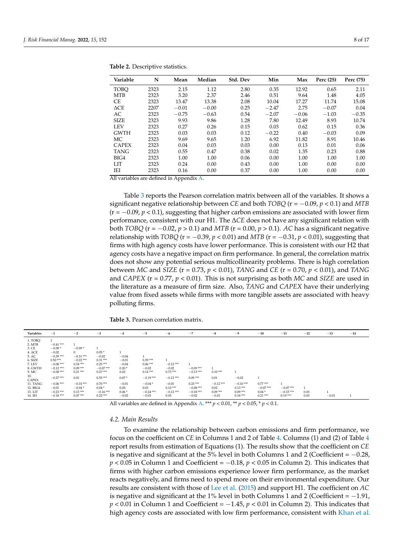| Variable       | N    | Mean    | Median  | Std. Dev | Min     | Max     | Perc (25) | Perc (75) |
|----------------|------|---------|---------|----------|---------|---------|-----------|-----------|
| <b>TOBO</b>    | 2323 | 2.15    | 1.12    | 2.80     | 0.35    | 12.92   | 0.65      | 2.11      |
| <b>MTB</b>     | 2323 | 3.20    | 2.37    | 2.46     | 0.51    | 9.64    | 1.48      | 4.05      |
| CE             | 2323 | 13.47   | 13.38   | 2.08     | 10.04   | 17.27   | 11.74     | 15.08     |
| $\triangle$ CE | 2207 | $-0.01$ | $-0.00$ | 0.25     | $-2.47$ | 2.75    | $-0.07$   | 0.04      |
| AC             | 2323 | $-0.75$ | $-0.63$ | 0.54     | $-2.07$ | $-0.06$ | $-1.03$   | $-0.35$   |
| <b>SIZE</b>    | 2323 | 9.93    | 9.86    | 1.28     | 7.80    | 12.49   | 8.93      | 10.74     |
| <b>LEV</b>     | 2323 | 0.27    | 0.26    | 0.15     | 0.03    | 0.62    | 0.15      | 0.36      |
| <b>GWTH</b>    | 2323 | 0.03    | 0.03    | 0.12     | $-0.22$ | 0.40    | $-0.03$   | 0.09      |
| МC             | 2323 | 9.69    | 9.65    | 1.20     | 6.92    | 11.82   | 8.91      | 10.46     |
| <b>CAPEX</b>   | 2323 | 0.04    | 0.03    | 0.03     | 0.00    | 0.13    | 0.01      | 0.06      |
| <b>TANG</b>    | 2323 | 0.55    | 0.47    | 0.38     | 0.02    | 1.35    | 0.23      | 0.88      |
| BIG4           | 2323 | 1.00    | 1.00    | 0.06     | 0.00    | 1.00    | 1.00      | 1.00      |
| LIT            | 2323 | 0.24    | 0.00    | 0.43     | 0.00    | 1.00    | 0.00      | 0.00      |
| IEI            | 2323 | 0.16    | 0.00    | 0.37     | 0.00    | 1.00    | 0.00      | 0.00      |

<span id="page-8-0"></span>**Table 2.** Descriptive statistics.

All variables are defined in Appendix [A.](#page-15-7)

Table [3](#page-8-1) reports the Pearson correlation matrix between all of the variables. It shows a significant negative relationship between *CE* and both *TOBQ* (r = −0.09, *p* < 0.1) and *MTB*  $(r = -0.09, p < 0.1)$ , suggesting that higher carbon emissions are associated with lower firm performance, consistent with our H1. The ∆*CE* does not have any significant relation with both *TOBQ* ( $r = -0.02$ ,  $p > 0.1$ ) and *MTB* ( $r = 0.00$ ,  $p > 0.1$ ). *AC* has a significant negative relationship with *TOBQ* ( $r = -0.39$ ,  $p < 0.01$ ) and *MTB* ( $r = -0.31$ ,  $p < 0.01$ ), suggesting that firms with high agency costs have lower performance. This is consistent with our H2 that agency costs have a negative impact on firm performance. In general, the correlation matrix does not show any potential serious multicollinearity problems. There is high correlation between *MC* and *SIZE* (r = 0.73, *p* < 0.01), *TANG* and *CE* (r = 0.70, *p* < 0.01), and *TANG* and *CAPEX* ( $r = 0.77$ ,  $p < 0.01$ ). This is not surprising as both *MC* and *SIZE* are used in the literature as a measure of firm size. Also, *TANG* and *CAPEX* have their underlying value from fixed assets while firms with more tangible assets are associated with heavy polluting firms.

<span id="page-8-1"></span>**Table 3.** Pearson correlation matrix.

| Variables           | $-1$        | $-2$        | $-3$       | $-4$    | $-5$        | $-6$        | $-7$       | $-8$       | $-9$       | $-10$      | $-11$      | $-12$ | $-13$   | $-14$ |
|---------------------|-------------|-------------|------------|---------|-------------|-------------|------------|------------|------------|------------|------------|-------|---------|-------|
| 1. TOBO             |             |             |            |         |             |             |            |            |            |            |            |       |         |       |
| 2. MTB              | $-0.41***$  |             |            |         |             |             |            |            |            |            |            |       |         |       |
| 3. CE               | $-0.09*$    | $-0.09*$    |            |         |             |             |            |            |            |            |            |       |         |       |
| $4. \Delta CE$      | $-0.02$     | $\Omega$    | $0.05*$    |         |             |             |            |            |            |            |            |       |         |       |
| 5. AC               | $-0.39***$  | $-0.31***$  | $-0.02$    | $-0.04$ |             |             |            |            |            |            |            |       |         |       |
| 6. SIZE             | $0.50***$   | $-0.22$ *** | $0.31***$  | $-0.01$ | $0.39***$   |             |            |            |            |            |            |       |         |       |
| 7. LEV              | $-0.08***$  | $0.18***$   | $0.25***$  | $-0.04$ | $0.06***$   | $-0.13***$  |            |            |            |            |            |       |         |       |
| 8. GWTH             | $-0.12$ *** | $0.09***$   | $-0.07***$ | $0.20*$ | $-0.02$     | $-0.02$     | $-0.09***$ |            |            |            |            |       |         |       |
| 9. MC               | $-0.08***$  | $0.21***$   | $0.27***$  | 0.02    | $0.14***$   | $0.73***$   | $-0.13***$ | $0.10***$  |            |            |            |       |         |       |
| 10.<br><b>CAPEX</b> | $-0.27$ *** | 0.01        | $0.55***$  | $0.07*$ | $-0.19***$  | $-0.12$ *** | $0.09***$  | 0.01       | $-0.02$    |            |            |       |         |       |
| 11. TANG            | $-0.06$ *** | $-0.10***$  | $0.70***$  | $-0.01$ | $-0.04*$    | $-0.01$     | $0.23***$  | $-0.12***$ | $-0.10***$ | $0.77***$  |            |       |         |       |
| 12. BIG4            | $-0.01$     | $-0.04*$    | $0.04*$    | 0.03    | 0.03        | $0.10***$   | $-0.08***$ | 0.02       | $0.13***$  | $-0.07***$ | $-0.07***$ |       |         |       |
| 13. LIT             | $-0.23***$  | $0.13***$   | $-0.16***$ | $0.06*$ | $-0.24$ *** | $-0.12$ *** | $-0.18***$ | $0.09***$  | $0.09***$  | $0.04*$    | $-0.15***$ | 0.03  |         |       |
| 14. IEI             | $-0.18***$  | $0.07***$   | $0.22***$  | $-0.02$ | $-0.03$     | 0.03        | $-0.02$    | $-0.01$    | $0.18***$  | $0.21***$  | $0.19***$  | 0.03  | $-0.01$ |       |

All variables are defined in Appendix [A.](#page-15-7) \*\*\* *p* < 0.01, \*\* *p* < 0.05, \* *p* < 0.1.

#### *4.2. Main Results*

To examine the relationship between carbon emissions and firm performance, we focus on the coefficient on *CE* in Columns 1 and 2 of Table [4.](#page-9-0) Columns (1) and (2) of Table [4](#page-9-0) report results from estimation of Equations (1). The results show that the coefficient on *CE* is negative and significant at the  $5\%$  level in both Columns 1 and 2 (Coefficient =  $-0.28$ , *p* < 0.05 in Column 1 and Coefficient = −0.18, *p* < 0.05 in Column 2). This indicates that firms with higher carbon emissions experience lower firm performance, as the market reacts negatively, and firms need to spend more on their environmental expenditure. Our results are consistent with those of [Lee et al.](#page-16-1) [\(2015\)](#page-16-1) and support H1. The coefficient on *AC* is negative and significant at the 1% level in both Columns 1 and 2 (Coefficient =  $-1.91$ , *p* < 0.01 in Column 1 and Coefficient = −1.45, *p* < 0.01 in Column 2). This indicates that high agency costs are associated with low firm performance, consistent with [Khan et al.](#page-16-17)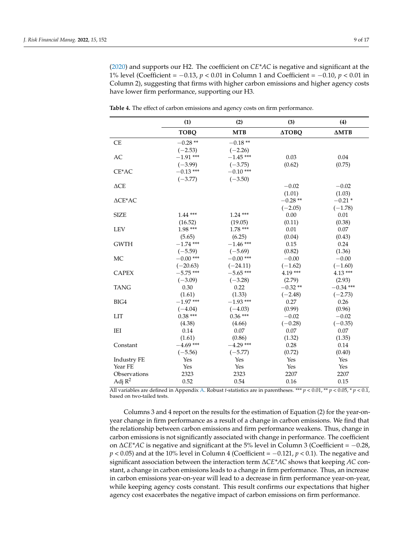[\(2020\)](#page-16-17) and supports our H2. The coefficient on *CE\*AC* is negative and significant at the 1% level (Coefficient = −0.13, *p* < 0.01 in Column 1 and Coefficient = −0.10, *p* < 0.01 in Column 2), suggesting that firms with higher carbon emissions and higher agency costs have lower firm performance, supporting our H3.

|                                   | (1)         | (2)         | (3)          | (4)          |
|-----------------------------------|-------------|-------------|--------------|--------------|
|                                   | <b>TOBQ</b> | <b>MTB</b>  | <b>ДТОВО</b> | $\Delta MTB$ |
| CE                                | $-0.28**$   | $-0.18**$   |              |              |
|                                   | $(-2.53)$   | $(-2.26)$   |              |              |
| AC                                | $-1.91$ *** | $-1.45$ *** | 0.03         | 0.04         |
|                                   | $(-3.99)$   | $(-3.75)$   | (0.62)       | (0.75)       |
| $CE*AC$                           | $-0.13$ *** | $-0.10$ *** |              |              |
|                                   | $(-3.77)$   | $(-3.50)$   |              |              |
| $\triangle$ CE                    |             |             | $-0.02$      | $-0.02$      |
|                                   |             |             | (1.01)       | (1.03)       |
| $\triangle \text{CE}^* \text{AC}$ |             |             | $-0.28**$    | $-0.21*$     |
|                                   |             |             | $(-2.05)$    | $(-1.78)$    |
| <b>SIZE</b>                       | $1.44***$   | $1.24***$   | 0.00         | 0.01         |
|                                   | (16.52)     | (19.05)     | (0.11)       | (0.38)       |
| <b>LEV</b>                        | 1.98 ***    | $1.78***$   | 0.01         | 0.07         |
|                                   | (5.65)      | (6.25)      | (0.04)       | (0.43)       |
| <b>GWTH</b>                       | $-1.74$ *** | $-1.46$ *** | 0.15         | 0.24         |
|                                   | $(-5.59)$   | $(-5.69)$   | (0.82)       | (1.36)       |
| MC                                | $-0.00$ *** | $-0.00$ *** | $-0.00$      | $-0.00$      |
|                                   | $(-20.63)$  | $(-24.11)$  | $(-1.62)$    | $(-1.60)$    |
| <b>CAPEX</b>                      | $-5.75$ *** | $-5.65$ *** | 4.19 ***     | $4.13***$    |
|                                   | $(-3.09)$   | $(-3.28)$   | (2.79)       | (2.93)       |
| <b>TANG</b>                       | 0.30        | 0.22        | $-0.32**$    | $-0.34$ ***  |
|                                   | (1.61)      | (1.33)      | $(-2.48)$    | $(-2.73)$    |
| BIG4                              | $-1.97***$  | $-1.93$ *** | 0.27         | 0.26         |
|                                   | $(-4.04)$   | $(-4.03)$   | (0.99)       | (0.96)       |
| <b>LIT</b>                        | $0.38***$   | $0.36***$   | $-0.02$      | $-0.02$      |
|                                   | (4.38)      | (4.66)      | $(-0.28)$    | $(-0.35)$    |
| IEI                               | 0.14        | 0.07        | 0.07         | 0.07         |
|                                   | (1.61)      | (0.86)      | (1.32)       | (1.35)       |
| Constant                          | $-4.69$ *** | $-4.29$ *** | 0.28         | 0.14         |
|                                   | $(-5.56)$   | $(-5.77)$   | (0.72)       | (0.40)       |
| Industry FE                       | Yes         | Yes         | Yes          | Yes          |
| Year FE                           | Yes         | Yes         | Yes          | Yes          |
| Observations                      | 2323        | 2323        | 2207         | 2207         |
| Adj $R^2$                         | 0.52        | 0.54        | 0.16         | 0.15         |

<span id="page-9-0"></span>**Table 4.** The effect of carbon emissions and agency costs on firm performance.

All variables are defined in Appendix [A.](#page-15-7) Robust *t*-statistics are in parentheses. \*\*\* *p* < 0.01, \*\* *p* < 0.05, \* *p* < 0.1, based on two-tailed tests.

Columns 3 and 4 report on the results for the estimation of Equation (2) for the year-onyear change in firm performance as a result of a change in carbon emissions. We find that the relationship between carbon emissions and firm performance weakens. Thus, change in carbon emissions is not significantly associated with change in performance. The coefficient on ∆*CE\*AC* is negative and significant at the 5% level in Column 3 (Coefficient = −0.28, *p* < 0.05) and at the 10% level in Column 4 (Coefficient = −0.121, *p* < 0.1). The negative and significant association between the interaction term ∆*CE\*AC* shows that keeping *AC* constant, a change in carbon emissions leads to a change in firm performance. Thus, an increase in carbon emissions year-on-year will lead to a decrease in firm performance year-on-year, while keeping agency costs constant. This result confirms our expectations that higher agency cost exacerbates the negative impact of carbon emissions on firm performance.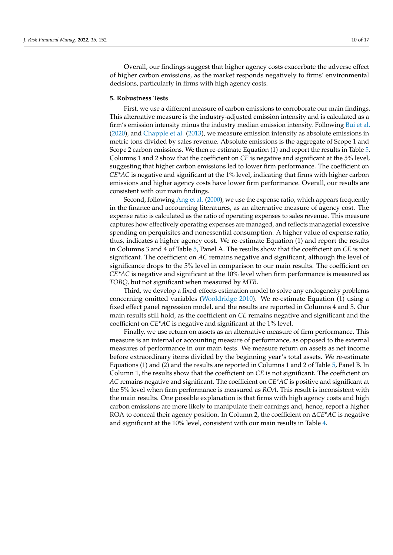Overall, our findings suggest that higher agency costs exacerbate the adverse effect of higher carbon emissions, as the market responds negatively to firms' environmental decisions, particularly in firms with high agency costs.

#### **5. Robustness Tests**

First, we use a different measure of carbon emissions to corroborate our main findings. This alternative measure is the industry-adjusted emission intensity and is calculated as a firm's emission intensity minus the industry median emission intensity. Following [Bui et al.](#page-16-2) [\(2020\)](#page-16-2), and [Chapple et al.](#page-16-21) [\(2013\)](#page-16-21), we measure emission intensity as absolute emissions in metric tons divided by sales revenue. Absolute emissions is the aggregate of Scope 1 and Scope 2 carbon emissions. We then re-estimate Equation (1) and report the results in Table [5.](#page-11-1) Columns 1 and 2 show that the coefficient on *CE* is negative and significant at the 5% level, suggesting that higher carbon emissions led to lower firm performance. The coefficient on *CE\*AC* is negative and significant at the 1% level, indicating that firms with higher carbon emissions and higher agency costs have lower firm performance. Overall, our results are consistent with our main findings.

Second, following [Ang et al.](#page-15-2) [\(2000\)](#page-15-2), we use the expense ratio, which appears frequently in the finance and accounting literatures, as an alternative measure of agency cost. The expense ratio is calculated as the ratio of operating expenses to sales revenue. This measure captures how effectively operating expenses are managed, and reflects managerial excessive spending on perquisites and nonessential consumption. A higher value of expense ratio, thus, indicates a higher agency cost. We re-estimate Equation (1) and report the results in Columns 3 and 4 of Table [5,](#page-11-1) Panel A. The results show that the coefficient on *CE* is not significant. The coefficient on *AC* remains negative and significant, although the level of significance drops to the 5% level in comparison to our main results. The coefficient on *CE\*AC* is negative and significant at the 10% level when firm performance is measured as *TOBQ,* but not significant when measured by *MTB*.

Third, we develop a fixed-effects estimation model to solve any endogeneity problems concerning omitted variables [\(Wooldridge](#page-17-9) [2010\)](#page-17-9). We re-estimate Equation (1) using a fixed effect panel regression model, and the results are reported in Columns 4 and 5. Our main results still hold, as the coefficient on *CE* remains negative and significant and the coefficient on *CE\*AC* is negative and significant at the 1% level.

Finally, we use return on assets as an alternative measure of firm performance. This measure is an internal or accounting measure of performance, as opposed to the external measures of performance in our main tests. We measure return on assets as net income before extraordinary items divided by the beginning year's total assets. We re-estimate Equations (1) and (2) and the results are reported in Columns 1 and 2 of Table [5,](#page-11-1) Panel B. In Column 1, the results show that the coefficient on *CE* is not significant. The coefficient on *AC* remains negative and significant. The coefficient on *CE\*AC* is positive and significant at the 5% level when firm performance is measured as *ROA*. This result is inconsistent with the main results. One possible explanation is that firms with high agency costs and high carbon emissions are more likely to manipulate their earnings and, hence, report a higher ROA to conceal their agency position. In Column 2, the coefficient on ∆*CE\*AC* is negative and significant at the 10% level, consistent with our main results in Table [4.](#page-9-0)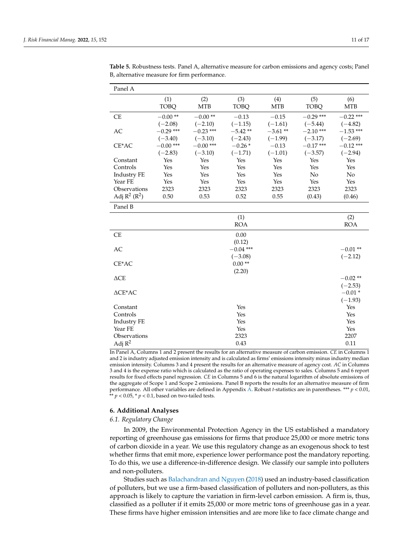| Panel A                  |                          |                          |                        |                        |                          |                          |
|--------------------------|--------------------------|--------------------------|------------------------|------------------------|--------------------------|--------------------------|
|                          | (1)<br><b>TOBQ</b>       | (2)<br><b>MTB</b>        | (3)<br><b>TOBQ</b>     | (4)<br><b>MTB</b>      | (5)<br><b>TOBQ</b>       | (6)<br><b>MTB</b>        |
| <b>CE</b>                | $-0.00**$<br>$(-2.08)$   | $-0.00**$<br>$(-2.10)$   | $-0.13$<br>$(-1.15)$   | $-0.15$<br>$(-1.61)$   | $-0.29$ ***<br>$(-5.44)$ | $-0.22$ ***<br>$(-4.82)$ |
| AC                       | $-0.29$ ***<br>$(-3.40)$ | $-0.23$ ***<br>$(-3.10)$ | $-5.42**$<br>$(-2.43)$ | $-3.61**$<br>$(-1.99)$ | $-2.10$ ***<br>$(-3.17)$ | $-1.53$ ***<br>$(-2.69)$ |
| CE*AC                    | $-0.00$ ***              | $-0.00$ ***              | $-0.26*$               | $-0.13$                | $-0.17$ ***              | $-0.12$ ***              |
| Constant                 | $(-2.83)$<br>Yes         | $(-3.10)$<br>Yes         | $(-1.71)$<br>Yes       | $(-1.01)$<br>Yes       | $(-3.57)$<br>Yes         | $(-2.94)$<br>Yes         |
| Controls                 | Yes                      | Yes                      | Yes                    | Yes                    | Yes                      | Yes                      |
| Industry FE              | Yes                      | Yes                      | Yes                    | Yes                    | No                       | No                       |
| Year FE                  | Yes                      | Yes                      | Yes                    | Yes                    | Yes                      | Yes                      |
| Observations             | 2323                     | 2323                     | 2323                   | 2323                   | 2323                     | 2323                     |
| Adj $R^2$ ( $R^2$ )      | 0.50                     | 0.53                     | 0.52                   | 0.55                   | (0.43)                   | (0.46)                   |
| Panel B                  |                          |                          |                        |                        |                          |                          |
|                          |                          |                          | (1)<br><b>ROA</b>      |                        |                          | (2)<br><b>ROA</b>        |
|                          |                          |                          |                        |                        |                          |                          |
| <b>CE</b>                |                          |                          | 0.00                   |                        |                          |                          |
|                          |                          |                          | (0.12)                 |                        |                          |                          |
| AC                       |                          |                          | $-0.04$ ***            |                        |                          | $-0.01**$                |
|                          |                          |                          | $(-3.08)$<br>$0.00**$  |                        |                          | $(-2.12)$                |
| CE*AC                    |                          |                          | (2.20)                 |                        |                          |                          |
| $\triangle$ CE           |                          |                          |                        |                        |                          | $-0.02**$                |
|                          |                          |                          |                        |                        |                          | $(-2.53)$                |
| $\triangle \text{CE*AC}$ |                          |                          |                        |                        |                          | $-0.01*$                 |
|                          |                          |                          |                        |                        |                          | $(-1.93)$                |
| Constant                 |                          |                          | Yes                    |                        |                          | Yes                      |
| Controls                 |                          |                          | Yes                    |                        |                          | Yes                      |
| <b>Industry FE</b>       |                          |                          | Yes                    |                        |                          | Yes                      |
| Year FE                  |                          |                          | Yes                    |                        |                          | Yes                      |
| Observations             |                          |                          | 2323                   |                        |                          | 2207                     |
| Adj $R^2$                |                          |                          | 0.43                   |                        |                          | 0.11                     |

<span id="page-11-1"></span>**Table 5.** Robustness tests. Panel A, alternative measure for carbon emissions and agency costs; Panel B, alternative measure for firm performance.

In Panel A, Columns 1 and 2 present the results for an alternative measure of carbon emission. *CE* in Columns 1 and 2 is industry adjusted emission intensity and is calculated as firms' emissions intensity minus industry median emission intensity. Columns 3 and 4 present the results for an alternative measure of agency cost. *AC* in Columns 3 and 4 is the expense ratio which is calculated as the ratio of operating expenses to sales. Columns 5 and 6 report results for fixed effects panel regression. *CE* in Columns 5 and 6 is the natural logarithm of absolute emissions of the aggregate of Scope 1 and Scope 2 emissions. Panel B reports the results for an alternative measure of firm performance. All other variables are defined in Appendix [A.](#page-15-7) Robust *t*-statistics are in parentheses. \*\*\* *p* < 0.01,  $* p < 0.05$ ,  $* p < 0.1$ , based on two-tailed tests.

#### <span id="page-11-0"></span>**6. Additional Analyses**

#### *6.1. Regulatory Change*

In 2009, the Environmental Protection Agency in the US established a mandatory reporting of greenhouse gas emissions for firms that produce 25,000 or more metric tons of carbon dioxide in a year. We use this regulatory change as an exogenous shock to test whether firms that emit more, experience lower performance post the mandatory reporting. To do this, we use a difference-in-difference design. We classify our sample into polluters and non-polluters.

Studies such as [Balachandran and Nguyen](#page-15-9) [\(2018\)](#page-15-9) used an industry-based classification of polluters, but we use a firm-based classification of polluters and non-polluters, as this approach is likely to capture the variation in firm-level carbon emission. A firm is, thus, classified as a polluter if it emits 25,000 or more metric tons of greenhouse gas in a year. These firms have higher emission intensities and are more like to face climate change and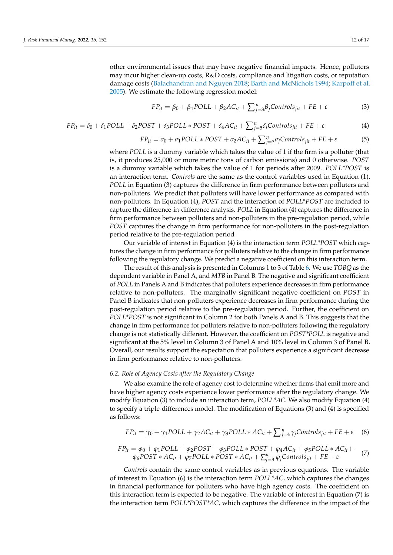other environmental issues that may have negative financial impacts. Hence, polluters may incur higher clean-up costs, R&D costs, compliance and litigation costs, or reputation damage costs [\(Balachandran and Nguyen](#page-15-9) [2018;](#page-15-9) [Barth and McNichols](#page-15-10) [1994;](#page-15-10) [Karpoff et al.](#page-16-27) [2005\)](#page-16-27). We estimate the following regression model:

$$
FP_{it} = \beta_0 + \beta_1 POLL + \beta_2 AC_{it} + \sum_{j=3}^n \beta_j Controls_{jit} + FE + \varepsilon
$$
 (3)

$$
FP_{it} = \delta_0 + \delta_1 POLL + \delta_2 POST + \delta_3 POLL * POST + \delta_4 AC_{it} + \sum_{j=5}^{n} \delta_j Controls_{jit} + FE + \varepsilon
$$
\n(4)

$$
FP_{it} = \sigma_0 + \sigma_1 POLL \ast POST + \sigma_2 AC_{it} + \sum_{j=3}^{n} \sigma_j Controls_{jit} + FE + \varepsilon
$$
 (5)

where *POLL* is a dummy variable which takes the value of 1 if the firm is a polluter (that is, it produces 25,000 or more metric tons of carbon emissions) and 0 otherwise. *POST* is a dummy variable which takes the value of 1 for periods after 2009. *POLL\*POST* is an interaction term. *Controls* are the same as the control variables used in Equation (1). *POLL* in Equation (3) captures the difference in firm performance between polluters and non-polluters. We predict that polluters will have lower performance as compared with non-polluters. In Equation (4), *POST* and the interaction of *POLL\*POST* are included to capture the difference-in-difference analysis. *POLL* in Equation (4) captures the difference in firm performance between polluters and non-polluters in the pre-regulation period, while *POST* captures the change in firm performance for non-polluters in the post-regulation period relative to the pre-regulation period

Our variable of interest in Equation (4) is the interaction term *POLL\*POST* which captures the change in firm performance for polluters relative to the change in firm performance following the regulatory change. We predict a negative coefficient on this interaction term.

The result of this analysis is presented in Columns 1 to 3 of Table [6.](#page-13-1) We use *TOBQ* as the dependent variable in Panel A, and *MTB* in Panel B. The negative and significant coefficient of *POLL* in Panels A and B indicates that polluters experience decreases in firm performance relative to non-polluters. The marginally significant negative coefficient on *POST* in Panel B indicates that non-polluters experience decreases in firm performance during the post-regulation period relative to the pre-regulation period. Further, the coefficient on *POLL\*POST* is not significant in Column 2 for both Panels A and B. This suggests that the change in firm performance for polluters relative to non-polluters following the regulatory change is not statistically different. However, the coefficient on *POST\*POLL* is negative and significant at the 5% level in Column 3 of Panel A and 10% level in Column 3 of Panel B. Overall, our results support the expectation that polluters experience a significant decrease in firm performance relative to non-polluters.

#### *6.2. Role of Agency Costs after the Regulatory Change*

We also examine the role of agency cost to determine whether firms that emit more and have higher agency costs experience lower performance after the regulatory change. We modify Equation (3) to include an interaction term, *POLL\*AC*. We also modify Equation (4) to specify a triple-differences model. The modification of Equations (3) and (4) is specified as follows:

$$
FP_{it} = \gamma_0 + \gamma_1 POLL + \gamma_2 AC_{it} + \gamma_3 POLL * AC_{it} + \sum_{j=4}^{n} \gamma_j Controls_{jit} + FE + \varepsilon
$$
 (6)

$$
FP_{it} = \varphi_0 + \varphi_1 POLL + \varphi_2 POST + \varphi_3 POLL * POST + \varphi_4 AC_{it} + \varphi_5 POLL * AC_{it} + \varphi_6 POST * AC_{it} + \varphi_7 POLL * POST * AC_{it} + \sum_{j=8}^n \varphi_j Controls_{jit} + FE + \varepsilon
$$
 (7)

*Controls* contain the same control variables as in previous equations. The variable of interest in Equation (6) is the interaction term *POLL\*AC,* which captures the changes in financial performance for polluters who have high agency costs. The coefficient on this interaction term is expected to be negative. The variable of interest in Equation (7) is the interaction term *POLL\*POST\*AC,* which captures the difference in the impact of the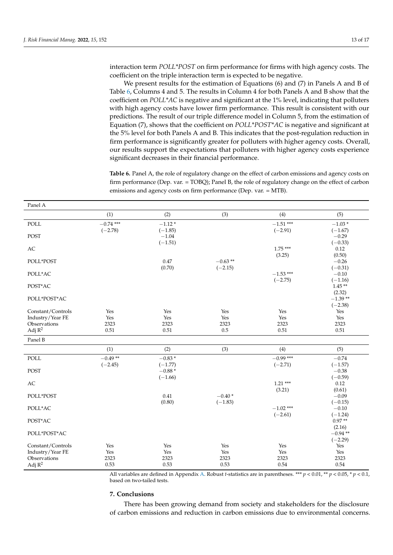interaction term *POLL\*POST* on firm performance for firms with high agency costs. The coefficient on the triple interaction term is expected to be negative.

We present results for the estimation of Equations (6) and (7) in Panels A and B of Table [6,](#page-13-1) Columns 4 and 5. The results in Column 4 for both Panels A and B show that the coefficient on *POLL\*AC* is negative and significant at the 1% level, indicating that polluters with high agency costs have lower firm performance. This result is consistent with our predictions. The result of our triple difference model in Column 5, from the estimation of Equation (7), shows that the coefficient on *POLL\*POST\*AC* is negative and significant at the 5% level for both Panels A and B. This indicates that the post-regulation reduction in firm performance is significantly greater for polluters with higher agency costs. Overall, our results support the expectations that polluters with higher agency costs experience significant decreases in their financial performance.

<span id="page-13-1"></span>**Table 6.** Panel A, the role of regulatory change on the effect of carbon emissions and agency costs on firm performance (Dep. var. = TOBQ); Panel B, the role of regulatory change on the effect of carbon emissions and agency costs on firm performance (Dep. var. = MTB).

| Panel A                               |             |                      |           |             |                       |
|---------------------------------------|-------------|----------------------|-----------|-------------|-----------------------|
|                                       | (1)         | (2)                  | (3)       | (4)         | (5)                   |
| POLL                                  | $-0.74$ *** | $-1.12*$             |           | $-1.51$ *** | $-1.03*$              |
|                                       | $(-2.78)$   | $(-1.85)$            |           | $(-2.91)$   | $(-1.67)$             |
| <b>POST</b>                           |             | $-1.04$<br>$(-1.51)$ |           |             | $-0.29$<br>$(-0.33)$  |
| AC                                    |             |                      |           | $1.75***$   | 0.12                  |
|                                       |             |                      |           | (3.25)      | (0.50)                |
| POLL*POST                             |             | 0.47                 | $-0.63**$ |             | $-0.26$               |
|                                       |             | (0.70)               | $(-2.15)$ |             | $(-0.31)$             |
| POLL*AC                               |             |                      |           | $-1.53$ *** | $-0.10$               |
| POST*AC                               |             |                      |           | $(-2.75)$   | $(-1.16)$<br>$1.45**$ |
|                                       |             |                      |           |             | (2.32)                |
| POLL*POST*AC                          |             |                      |           |             | $-1.39**$             |
|                                       |             |                      |           |             | $(-2.38)$             |
| Constant/Controls                     | Yes         | Yes                  | Yes       | Yes         | Yes                   |
| Industry/Year FE                      | Yes         | Yes                  | Yes       | Yes         | Yes                   |
| Observations                          | 2323        | 2323                 | 2323      | 2323        | 2323                  |
| Adj $R^2$                             | 0.51        | 0.51                 | 0.5       | 0.51        | 0.51                  |
| Panel B                               |             |                      |           |             |                       |
|                                       | (1)         | (2)                  | (3)       | (4)         | (5)                   |
| POLL                                  | $-0.49**$   | $-0.83*$             |           | $-0.99***$  | $-0.74$               |
|                                       | $(-2.45)$   | $(-1.77)$            |           | $(-2.71)$   | $(-1.57)$             |
| <b>POST</b>                           |             | $-0.88*$             |           |             | $-0.38$               |
|                                       |             | $(-1.66)$            |           |             | $(-0.59)$             |
| AC                                    |             |                      |           | $1.21***$   | 0.12<br>(0.61)        |
| POLL*POST                             |             | 0.41                 | $-0.40*$  | (3.21)      | $-0.09$               |
|                                       |             | (0.80)               | $(-1.83)$ |             | $(-0.15)$             |
| POLL*AC                               |             |                      |           | $-1.02$ *** | $-0.10$               |
|                                       |             |                      |           | $(-2.61)$   | $(-1.24)$             |
| POST*AC                               |             |                      |           |             | $0.97**$              |
|                                       |             |                      |           |             | (2.16)                |
| POLL*POST*AC                          |             |                      |           |             | $-0.94**$             |
|                                       | Yes         |                      | Yes       | Yes         | $(-2.29)$             |
| Constant/Controls<br>Industry/Year FE | Yes         | Yes<br>Yes           | Yes       | Yes         | Yes<br>Yes            |
| Observations                          | 2323        | 2323                 | 2323      | 2323        | 2323                  |
| Adj $R^2$                             | 0.53        | 0.53                 | 0.53      | 0.54        | 0.54                  |
|                                       |             |                      |           |             |                       |

All variables are defined in Appendix [A.](#page-15-7) Robust *t*-statistics are in parentheses. \*\*\* *p* < 0.01, \*\* *p* < 0.05, \* *p* < 0.1, based on two-tailed tests.

## <span id="page-13-0"></span>**7. Conclusions**

There has been growing demand from society and stakeholders for the disclosure of carbon emissions and reduction in carbon emissions due to environmental concerns.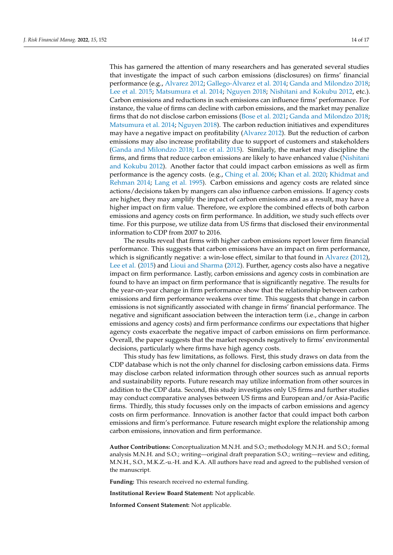This has garnered the attention of many researchers and has generated several studies that investigate the impact of such carbon emissions (disclosures) on firms' financial performance (e.g., [Alvarez](#page-15-1) [2012;](#page-15-1) Gallego-Á[lvarez et al.](#page-16-11) [2014;](#page-16-11) [Ganda and Milondzo](#page-16-13) [2018;](#page-16-13) [Lee et al.](#page-16-1) [2015;](#page-16-1) [Matsumura et al.](#page-16-10) [2014;](#page-16-10) [Nguyen](#page-16-14) [2018;](#page-16-14) [Nishitani and Kokubu](#page-16-15) [2012,](#page-16-15) etc.). Carbon emissions and reductions in such emissions can influence firms' performance. For instance, the value of firms can decline with carbon emissions, and the market may penalize firms that do not disclose carbon emissions [\(Bose et al.](#page-15-3) [2021;](#page-15-3) [Ganda and Milondzo](#page-16-13) [2018;](#page-16-13) [Matsumura et al.](#page-16-10) [2014;](#page-16-10) [Nguyen](#page-16-14) [2018\)](#page-16-14). The carbon reduction initiatives and expenditures may have a negative impact on profitability [\(Alvarez](#page-15-1) [2012\)](#page-15-1). But the reduction of carbon emissions may also increase profitability due to support of customers and stakeholders [\(Ganda and Milondzo](#page-16-13) [2018;](#page-16-13) [Lee et al.](#page-16-1) [2015\)](#page-16-1). Similarly, the market may discipline the firms, and firms that reduce carbon emissions are likely to have enhanced value [\(Nishitani](#page-16-15) [and Kokubu](#page-16-15) [2012\)](#page-16-15). Another factor that could impact carbon emissions as well as firm performance is the agency costs. (e.g., [Ching et al.](#page-16-16) [2006;](#page-16-16) [Khan et al.](#page-16-17) [2020;](#page-16-17) [Khidmat and](#page-16-18) [Rehman](#page-16-18) [2014;](#page-16-18) [Lang et al.](#page-16-19) [1995\)](#page-16-19). Carbon emissions and agency costs are related since actions/decisions taken by mangers can also influence carbon emissions. If agency costs are higher, they may amplify the impact of carbon emissions and as a result, may have a higher impact on firm value. Therefore, we explore the combined effects of both carbon emissions and agency costs on firm performance. In addition, we study such effects over time. For this purpose, we utilize data from US firms that disclosed their environmental information to CDP from 2007 to 2016.

The results reveal that firms with higher carbon emissions report lower firm financial performance. This suggests that carbon emissions have an impact on firm performance, which is significantly negative: a win-lose effect, similar to that found in [Alvarez](#page-15-1) [\(2012\)](#page-15-1), [Lee et al.](#page-16-1) [\(2015\)](#page-16-1) and [Lioui and Sharma](#page-16-7) [\(2012\)](#page-16-7). Further, agency costs also have a negative impact on firm performance. Lastly, carbon emissions and agency costs in combination are found to have an impact on firm performance that is significantly negative. The results for the year-on-year change in firm performance show that the relationship between carbon emissions and firm performance weakens over time. This suggests that change in carbon emissions is not significantly associated with change in firms' financial performance. The negative and significant association between the interaction term (i.e., change in carbon emissions and agency costs) and firm performance confirms our expectations that higher agency costs exacerbate the negative impact of carbon emissions on firm performance. Overall, the paper suggests that the market responds negatively to firms' environmental decisions, particularly where firms have high agency costs.

This study has few limitations, as follows. First, this study draws on data from the CDP database which is not the only channel for disclosing carbon emissions data. Firms may disclose carbon related information through other sources such as annual reports and sustainability reports. Future research may utilize information from other sources in addition to the CDP data. Second, this study investigates only US firms and further studies may conduct comparative analyses between US firms and European and/or Asia-Pacific firms. Thirdly, this study focusses only on the impacts of carbon emissions and agency costs on firm performance. Innovation is another factor that could impact both carbon emissions and firm's performance. Future research might explore the relationship among carbon emissions, innovation and firm performance.

**Author Contributions:** Conceptualization M.N.H. and S.O.; methodology M.N.H. and S.O.; formal analysis M.N.H. and S.O.; writing—original draft preparation S.O.; writing—review and editing, M.N.H., S.O., M.K.Z.-u.-H. and K.A. All authors have read and agreed to the published version of the manuscript.

**Funding:** This research received no external funding.

**Institutional Review Board Statement:** Not applicable.

**Informed Consent Statement:** Not applicable.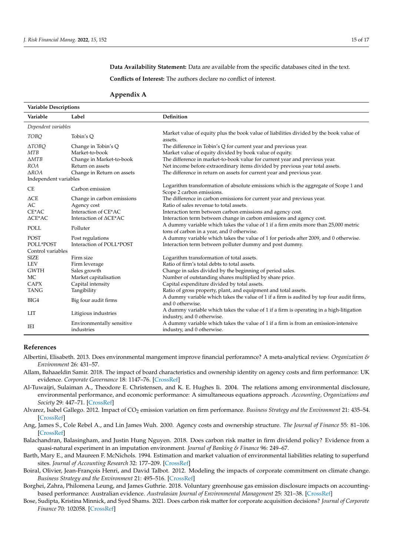**Data Availability Statement:** Data are available from the specific databases cited in the text.

**Conflicts of Interest:** The authors declare no conflict of interest.

#### <span id="page-15-7"></span>**Appendix A**

| <b>Variable Descriptions</b> |                                                  |                                                                                                                                   |  |  |  |  |
|------------------------------|--------------------------------------------------|-----------------------------------------------------------------------------------------------------------------------------------|--|--|--|--|
| Variable                     | Label                                            | Definition                                                                                                                        |  |  |  |  |
| Dependent variables          |                                                  |                                                                                                                                   |  |  |  |  |
| <b>TOBO</b>                  | Tobin's Q                                        | Market value of equity plus the book value of liabilities divided by the book value of<br>assets.                                 |  |  |  |  |
| $\triangle TOBQ$             | Change in Tobin's Q                              | The difference in Tobin's Q for current year and previous year.                                                                   |  |  |  |  |
| <b>MTB</b>                   | Market-to-book                                   | Market value of equity divided by book value of equity.                                                                           |  |  |  |  |
| $\triangle MTB$              | Change in Market-to-book                         | The difference in market-to-book value for current year and previous year.                                                        |  |  |  |  |
| <b>ROA</b>                   | Return on assets                                 | Net income before extraordinary items divided by previous year total assets.                                                      |  |  |  |  |
| $\triangle ROA$              | Change in Return on assets                       | The difference in return on assets for current year and previous year.                                                            |  |  |  |  |
| Independent variables        |                                                  |                                                                                                                                   |  |  |  |  |
| <b>CE</b>                    | Carbon emission                                  | Logarithm transformation of absolute emissions which is the aggregate of Scope 1 and<br>Scope 2 carbon emissions.                 |  |  |  |  |
| $\triangle$ CE               | Change in carbon emissions                       | The difference in carbon emissions for current year and previous year.                                                            |  |  |  |  |
| AC                           | Agency cost                                      | Ratio of sales revenue to total assets.                                                                                           |  |  |  |  |
| $CE*AC$                      | Interaction of CE*AC                             | Interaction term between carbon emissions and agency cost.                                                                        |  |  |  |  |
| $\triangle CE^*AC$           | Interaction of $\triangle \text{CE}^* \text{AC}$ | Interaction term between change in carbon emissions and agency cost.                                                              |  |  |  |  |
| POLL                         | Polluter                                         | A dummy variable which takes the value of 1 if a firm emits more than 25,000 metric<br>tons of carbon in a year, and 0 otherwise. |  |  |  |  |
| <b>POST</b>                  | Post regulations                                 | A dummy variable which takes the value of 1 for periods after 2009, and 0 otherwise.                                              |  |  |  |  |
| POLL*POST                    | Interaction of POLL*POST                         | Interaction term between polluter dummy and post dummy.                                                                           |  |  |  |  |
| Control variables            |                                                  |                                                                                                                                   |  |  |  |  |
| <b>SIZE</b>                  | Firm size                                        | Logarithm transformation of total assets.                                                                                         |  |  |  |  |
| <b>LEV</b>                   | Firm leverage                                    | Ratio of firm's total debts to total assets.                                                                                      |  |  |  |  |
| <b>GWTH</b>                  | Sales growth                                     | Change in sales divided by the beginning of period sales.                                                                         |  |  |  |  |
| MC                           | Market capitalisation                            | Number of outstanding shares multiplied by share price.                                                                           |  |  |  |  |
| <b>CAPX</b>                  | Capital intensity                                | Capital expenditure divided by total assets.                                                                                      |  |  |  |  |
| <b>TANG</b>                  | Tangibility                                      | Ratio of gross property, plant, and equipment and total assets.                                                                   |  |  |  |  |
| BIG4                         | Big four audit firms                             | A dummy variable which takes the value of 1 if a firm is audited by top four audit firms,<br>and 0 otherwise.                     |  |  |  |  |
| <b>LIT</b>                   | Litigious industries                             | A dummy variable which takes the value of 1 if a firm is operating in a high-litigation<br>industry, and 0 otherwise.             |  |  |  |  |
| IEI                          | Environmentally sensitive<br>industries          | A dummy variable which takes the value of 1 if a firm is from an emission-intensive<br>industry, and 0 otherwise.                 |  |  |  |  |

#### **References**

- <span id="page-15-6"></span>Albertini, Elisabeth. 2013. Does environmental mangement improve financial perforamnce? A meta-analytical review. *Organization & Environment* 26: 431–57.
- <span id="page-15-5"></span>Allam, Bahaaeldin Samir. 2018. The impact of board characteristics and ownership identity on agency costs and firm performance: UK evidence. *Corporate Governance* 18: 1147–76. [\[CrossRef\]](http://doi.org/10.1108/CG-09-2016-0184)
- <span id="page-15-8"></span>Al-Tuwaijri, Sulaiman A., Theodore E. Christensen, and K. E. Hughes Ii. 2004. The relations among environmental disclosure, environmental performance, and economic performance: A simultaneous equations approach. *Accounting, Organizations and Society* 29: 447–71. [\[CrossRef\]](http://doi.org/10.1016/S0361-3682(03)00032-1)
- <span id="page-15-1"></span>Alvarez, Isabel Gallego. 2012. Impact of CO<sup>2</sup> emission variation on firm performance. *Business Strategy and the Environment* 21: 435–54. [\[CrossRef\]](http://doi.org/10.1002/bse.1729)
- <span id="page-15-2"></span>Ang, James S., Cole Rebel A., and Lin James Wuh. 2000. Agency costs and ownership structure. *The Journal of Finance* 55: 81–106. [\[CrossRef\]](http://doi.org/10.1111/0022-1082.00201)
- <span id="page-15-9"></span>Balachandran, Balasingham, and Justin Hung Nguyen. 2018. Does carbon risk matter in firm dividend policy? Evidence from a quasi-natural experiment in an imputation environment. *Journal of Banking & Finance* 96: 249–67.
- <span id="page-15-10"></span>Barth, Mary E., and Maureen F. McNichols. 1994. Estimation and market valuation of environmental liabilities relating to superfund sites. *Journal of Accounting Research* 32: 177–209. [\[CrossRef\]](http://doi.org/10.2307/2491446)
- <span id="page-15-4"></span>Boiral, Olivier, Jean-François Henri, and David Talbot. 2012. Modeling the impacts of corporate commitment on climate change. *Business Strategy and the Environment* 21: 495–516. [\[CrossRef\]](http://doi.org/10.1002/bse.723)
- <span id="page-15-0"></span>Borghei, Zahra, Philomena Leung, and James Guthrie. 2018. Voluntary greenhouse gas emission disclosure impacts on accountingbased performance: Australian evidence. *Australasian Journal of Environmental Management* 25: 321–38. [\[CrossRef\]](http://doi.org/10.1080/14486563.2018.1466204)
- <span id="page-15-3"></span>Bose, Sudipta, Kristina Minnick, and Syed Shams. 2021. Does carbon risk matter for corporate acquisition decisions? *Journal of Corporate Finance* 70: 102058. [\[CrossRef\]](http://doi.org/10.1016/j.jcorpfin.2021.102058)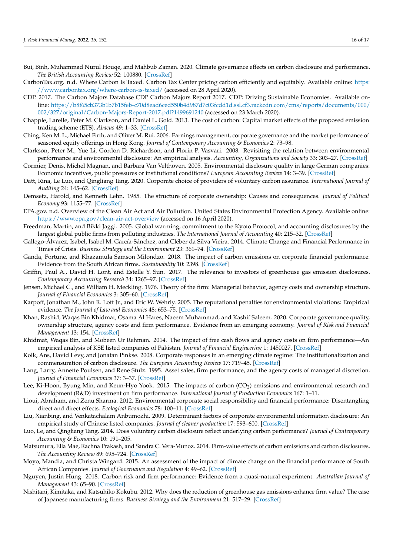- <span id="page-16-2"></span>Bui, Binh, Muhammad Nurul Houqe, and Mahbub Zaman. 2020. Climate governance effects on carbon disclosure and performance. *The British Accounting Review* 52: 100880. [\[CrossRef\]](http://doi.org/10.1016/j.bar.2019.100880)
- <span id="page-16-3"></span>CarbonTax.org. n.d. Where Carbon Is Taxed. Carbon Tax Center pricing carbon efficiently and equitably. Available online: [https:](https://www.carbontax.org/where-carbon-is-taxed/) [//www.carbontax.org/where-carbon-is-taxed/](https://www.carbontax.org/where-carbon-is-taxed/) (accessed on 28 April 2020).
- <span id="page-16-0"></span>CDP. 2017. The Carbon Majors Database CDP Carbon Majors Report 2017. CDP: Driving Sustainable Economies. Available online: [https://b8f65cb373b1b7b15feb-c70d8ead6ced550b4d987d7c03fcdd1d.ssl.cf3.rackcdn.com/cms/reports/documents/000/](https://b8f65cb373b1b7b15feb-c70d8ead6ced550b4d987d7c03fcdd1d.ssl.cf3.rackcdn.com/cms/reports/documents/000/002/327/original/Carbon-Majors-Report-2017.pdf?1499691240) [002/327/original/Carbon-Majors-Report-2017.pdf?1499691240](https://b8f65cb373b1b7b15feb-c70d8ead6ced550b4d987d7c03fcdd1d.ssl.cf3.rackcdn.com/cms/reports/documents/000/002/327/original/Carbon-Majors-Report-2017.pdf?1499691240) (accessed on 23 March 2020).
- <span id="page-16-21"></span>Chapple, Larelle, Peter M. Clarkson, and Daniel L. Gold. 2013. The cost of carbon: Capital market effects of the proposed emission trading scheme (ETS). *Abacus* 49: 1–33. [\[CrossRef\]](http://doi.org/10.1111/abac.12006)
- <span id="page-16-16"></span>Ching, Ken M. L., Michael Firth, and Oliver M. Rui. 2006. Earnings management, corporate governance and the market performance of seasoned equity offerings in Hong Kong. *Journal of Contemporary Accounting & Economics* 2: 73–98.
- <span id="page-16-22"></span>Clarkson, Peter M., Yue Li, Gordon D. Richardson, and Florin P. Vasvari. 2008. Revisiting the relation between environmental performance and environmental disclosure: An empirical analysis. *Accounting, Organizations and Society* 33: 303–27. [\[CrossRef\]](http://doi.org/10.1016/j.aos.2007.05.003)
- <span id="page-16-23"></span>Cormier, Denis, Michel Magnan, and Barbara Van Velthoven. 2005. Environmental disclosure quality in large German companies: Economic incentives, public pressures or institutional conditions? *European Accounting Review* 14: 3–39. [\[CrossRef\]](http://doi.org/10.1080/0963818042000339617)
- <span id="page-16-26"></span>Datt, Rina, Le Luo, and Qingliang Tang. 2020. Corporate choice of providers of voluntary carbon assurance. *International Journal of Auditing* 24: 145–62. [\[CrossRef\]](http://doi.org/10.1111/ijau.12184)
- <span id="page-16-20"></span>Demsetz, Harold, and Kenneth Lehn. 1985. The structure of corporate ownership: Causes and consequences. *Journal of Political Economy* 93: 1155–77. [\[CrossRef\]](http://doi.org/10.1086/261354)
- <span id="page-16-4"></span>EPA.gov. n.d. Overview of the Clean Air Act and Air Pollution. United States Environmental Protection Agency. Available online: <https://www.epa.gov/clean-air-act-overview> (accessed on 16 April 2020).
- <span id="page-16-24"></span>Freedman, Martin, and Bikki Jaggi. 2005. Global warming, commitment to the Kyoto Protocol, and accounting disclosures by the largest global public firms from polluting industries. *The International Journal of Accounting* 40: 215–32. [\[CrossRef\]](http://doi.org/10.1016/j.intacc.2005.06.004)
- <span id="page-16-11"></span>Gallego-Álvarez, Isabel, Isabel M. García-Sánchez, and Cléber da Silva Vieira. 2014. Climate Change and Financial Performance in Times of Crisis. *Business Strategy and the Environment* 23: 361–74. [\[CrossRef\]](http://doi.org/10.1002/bse.1786)
- <span id="page-16-13"></span>Ganda, Fortune, and Khazamula Samson Milondzo. 2018. The impact of carbon emissions on corporate financial performance: Evidence from the South African firms. *Sustainability* 10: 2398. [\[CrossRef\]](http://doi.org/10.3390/su10072398)
- <span id="page-16-12"></span>Griffin, Paul A., David H. Lont, and Estelle Y. Sun. 2017. The relevance to investors of greenhouse gas emission disclosures. *Contemporary Accounting Research* 34: 1265–97. [\[CrossRef\]](http://doi.org/10.1111/1911-3846.12298)
- <span id="page-16-8"></span>Jensen, Michael C., and William H. Meckling. 1976. Theory of the firm: Managerial behavior, agency costs and ownership structure. *Journal of Financial Economics* 3: 305–60. [\[CrossRef\]](http://doi.org/10.1016/0304-405X(76)90026-X)
- <span id="page-16-27"></span>Karpoff, Jonathan M., John R. Lott Jr., and Eric W. Wehrly. 2005. The reputational penalties for environmental violations: Empirical evidence. *The Journal of Law and Economics* 48: 653–75. [\[CrossRef\]](http://doi.org/10.1086/430806)
- <span id="page-16-17"></span>Khan, Rashid, Waqas Bin Khidmat, Osama Al Hares, Naeem Muhammad, and Kashif Saleem. 2020. Corporate governance quality, ownership structure, agency costs and firm performance. Evidence from an emerging economy. *Journal of Risk and Financial Management* 13: 154. [\[CrossRef\]](http://doi.org/10.3390/jrfm13070154)
- <span id="page-16-18"></span>Khidmat, Waqas Bin, and Mobeen Ur Rehman. 2014. The impact of free cash flows and agency costs on firm performance—An empirical analysis of KSE listed companies of Pakistan. *Journal of Financial Engineering* 1: 1450027. [\[CrossRef\]](http://doi.org/10.1142/S2345768614500275)
- <span id="page-16-5"></span>Kolk, Ans, David Levy, and Jonatan Pinkse. 2008. Corporate responses in an emerging climate regime: The institutionalization and commensuration of carbon disclosure. *The European Accounting Review* 17: 719–45. [\[CrossRef\]](http://doi.org/10.1080/09638180802489121)
- <span id="page-16-19"></span>Lang, Larry, Annette Poulsen, and Rene Stulz. 1995. Asset sales, firm performance, and the agency costs of managerial discretion. *Journal of Financial Economics* 37: 3–37. [\[CrossRef\]](http://doi.org/10.1016/0304-405X(94)00791-X)
- <span id="page-16-1"></span>Lee, Ki-Hoon, Byung Min, and Keun-Hyo Yook. 2015. The impacts of carbon (CO<sub>2</sub>) emissions and environmental research and development (R&D) investment on firm performance. *International Journal of Production Economics* 167: 1–11.
- <span id="page-16-7"></span>Lioui, Abraham, and Zenu Sharma. 2012. Environmental corporate social responsibility and financial performance: Disentangling direct and direct effects. *Ecological Economics* 78: 100–11. [\[CrossRef\]](http://doi.org/10.1016/j.ecolecon.2012.04.004)
- <span id="page-16-25"></span>Liu, Xianbing, and Venkatachalam Anbumozhi. 2009. Determinant factors of corporate environmental information disclosure: An empirical study of Chinese listed companies. *Journal of cleaner production* 17: 593–600. [\[CrossRef\]](http://doi.org/10.1016/j.jclepro.2008.10.001)
- <span id="page-16-9"></span>Luo, Le, and Qingliang Tang. 2014. Does voluntary carbon disclosure reflect underlying carbon performance? *Journal of Contemporary Accounting & Economics* 10: 191–205.
- <span id="page-16-10"></span>Matsumura, Ella Mae, Rachna Prakash, and Sandra C. Vera-Munoz. 2014. Firm-value effects of carbon emissions and carbon disclosures. *The Accounting Review* 89: 695–724. [\[CrossRef\]](http://doi.org/10.2308/accr-50629)
- <span id="page-16-6"></span>Moyo, Mandia, and Christa Wingard. 2015. An assessment of the impact of climate change on the financial performance of South African Companies. *Journal of Governance and Regulation* 4: 49–62. [\[CrossRef\]](http://doi.org/10.22495/jgr_v4_i2_p5)
- <span id="page-16-14"></span>Nguyen, Justin Hung. 2018. Carbon risk and firm performance: Evidence from a quasi-natural experiment. *Australian Journal of Management* 43: 65–90. [\[CrossRef\]](http://doi.org/10.1177/0312896217709328)
- <span id="page-16-15"></span>Nishitani, Kimitaka, and Katsuhiko Kokubu. 2012. Why does the reduction of greenhouse gas emissions enhance firm value? The case of Japanese manufacturing firms. *Business Strategy and the Environment* 21: 517–29. [\[CrossRef\]](http://doi.org/10.1002/bse.734)